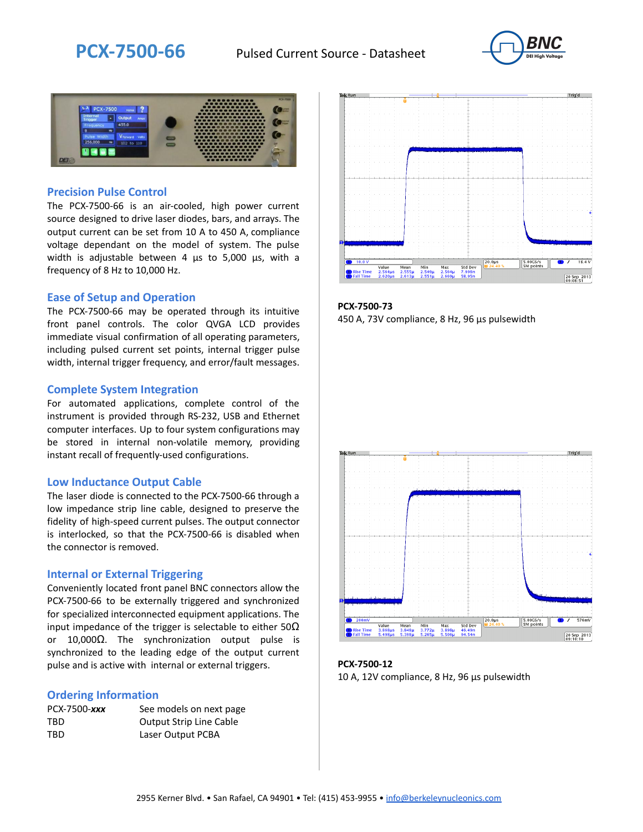



### **Precision Pulse Control**

The PCX-7500-66 is an air-cooled, high power current source designed to drive laser diodes, bars, and arrays. The output current can be set from 10 A to 450 A, compliance voltage dependant on the model of system. The pulse width is adjustable between 4 µs to 5,000 µs, with a frequency of 8 Hz to 10,000 Hz.

#### **Ease of Setup and Operation**

The PCX-7500-66 may be operated through its intuitive front panel controls. The color QVGA LCD provides immediate visual confirmation of all operating parameters, including pulsed current set points, internal trigger pulse width, internal trigger frequency, and error/fault messages.

#### **Complete System Integration**

For automated applications, complete control of the instrument is provided through RS-232, USB and Ethernet computer interfaces. Up to four system configurations may be stored in internal non-volatile memory, providing instant recall of frequently-used configurations.

#### **Low Inductance Output Cable**

The laser diode is connected to the PCX-7500-66 through a low impedance strip line cable, designed to preserve the fidelity of high-speed current pulses. The output connector is interlocked, so that the PCX-7500-66 is disabled when the connector is removed.

#### **Internal or External Triggering**

Conveniently located front panel BNC connectors allow the PCX-7500-66 to be externally triggered and synchronized for specialized interconnected equipment applications. The input impedance of the trigger is selectable to either  $50\Omega$ or 10,000Ω. The synchronization output pulse is synchronized to the leading edge of the output current pulse and is active with internal or external triggers.

#### **Ordering Information**

| PCX-7500-xxx | See models on next page        |
|--------------|--------------------------------|
| TBD          | <b>Output Strip Line Cable</b> |
| TBD          | Laser Output PCBA              |



**PCX-7500-73** 450 A, 73V compliance, 8 Hz, 96 µs pulsewidth



**PCX-7500-12** 10 A, 12V compliance, 8 Hz, 96 μs pulsewidth